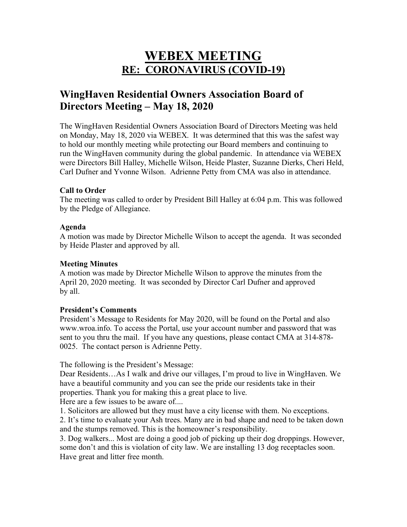# **WEBEX MEETING RE: CORONAVIRUS (COVID-19)**

# **WingHaven Residential Owners Association Board of Directors Meeting – May 18, 2020**

The WingHaven Residential Owners Association Board of Directors Meeting was held on Monday, May 18, 2020 via WEBEX. It was determined that this was the safest way to hold our monthly meeting while protecting our Board members and continuing to run the WingHaven community during the global pandemic. In attendance via WEBEX were Directors Bill Halley, Michelle Wilson, Heide Plaster, Suzanne Dierks, Cheri Held, Carl Dufner and Yvonne Wilson. Adrienne Petty from CMA was also in attendance.

#### **Call to Order**

The meeting was called to order by President Bill Halley at 6:04 p.m. This was followed by the Pledge of Allegiance.

# **Agenda**

A motion was made by Director Michelle Wilson to accept the agenda. It was seconded by Heide Plaster and approved by all.

## **Meeting Minutes**

A motion was made by Director Michelle Wilson to approve the minutes from the April 20, 2020 meeting. It was seconded by Director Carl Dufner and approved by all.

#### **President's Comments**

President's Message to Residents for May 2020, will be found on the Portal and also www.wroa.info. To access the Portal, use your account number and password that was sent to you thru the mail. If you have any questions, please contact CMA at 314-878- 0025. The contact person is Adrienne Petty.

The following is the President's Message:

Dear Residents…As I walk and drive our villages, I'm proud to live in WingHaven. We have a beautiful community and you can see the pride our residents take in their properties. Thank you for making this a great place to live.

Here are a few issues to be aware of....

1. Solicitors are allowed but they must have a city license with them. No exceptions.

2. It's time to evaluate your Ash trees. Many are in bad shape and need to be taken down and the stumps removed. This is the homeowner's responsibility.

3. Dog walkers... Most are doing a good job of picking up their dog droppings. However, some don't and this is violation of city law. We are installing 13 dog receptacles soon. Have great and litter free month.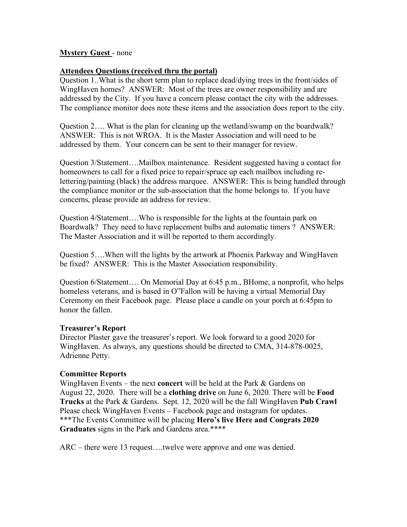# **Mystery Guest** - none

## **Attendees Questions (received thru the portal)**

Question 1..What is the short term plan to replace dead/dying trees in the front/sides of WingHaven homes? ANSWER: Most of the trees are owner responsibility and are addressed by the City. If you have a concern please contact the city with the addresses. The compliance monitor does note these items and the association does report to the city.

Question 2…. What is the plan for cleaning up the wetland/swamp on the boardwalk? ANSWER: This is not WROA. It is the Master Association and will need to be addressed by them. Your concern can be sent to their manager for review.

Question 3/Statement….Mailbox maintenance. Resident suggested having a contact for homeowners to call for a fixed price to repair/spruce up each mailbox including relettering/painting (black) the address marquee. ANSWER: This is being handled through the compliance monitor or the sub-association that the home belongs to. If you have concerns, please provide an address for review.

Question 4/Statement….Who is responsible for the lights at the fountain park on Boardwalk? They need to have replacement bulbs and automatic timers ? ANSWER: The Master Association and it will be reported to them accordingly.

Question 5….When will the lights by the artwork at Phoenix Parkway and WingHaven be fixed? ANSWER: This is the Master Association responsibility.

Question 6/Statement…. On Memorial Day at 6:45 p.m., BHome, a nonprofit, who helps homeless veterans, and is based in O"Fallon will be having a virtual Memorial Day Ceremony on their Facebook page. Please place a candle on your porch at 6:45pm to honor the fallen.

#### **Treasurer's Report**

Director Plaster gave the treasurer's report. We look forward to a good 2020 for WingHaven. As always, any questions should be directed to CMA, 314-878-0025, Adrienne Petty.

#### **Committee Reports**

WingHaven Events – the next **concert** will be held at the Park & Gardens on August 22, 2020. There will be a **clothing drive** on June 6, 2020. There will be **Food Trucks** at the Park & Gardens. Sept. 12, 2020 will be the fall WingHaven **Pub Crawl** Please check WingHaven Events – Facebook page and instagram for updates. \*\*\*The Events Committee will be placing **Hero's live Here and Congrats 2020 Graduates** signs in the Park and Gardens area.\*\*\*\*

ARC – there were 13 request….twelve were approve and one was denied.